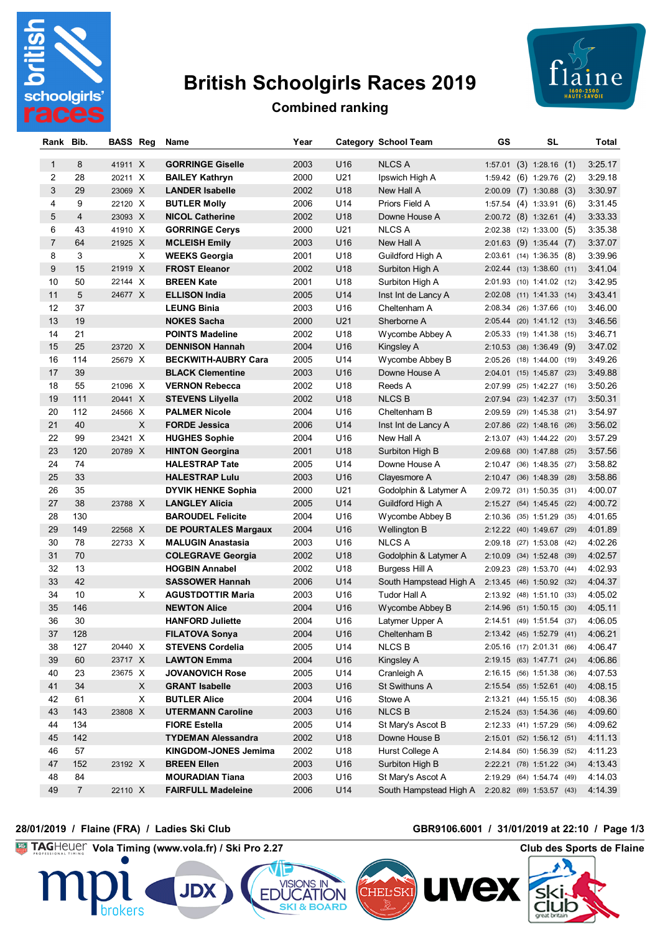

# **British Schoolgirls Races 2019**



### **Combined ranking**

| Rank Bib.      |                | <b>BASS Reg</b> |   | Name                        | Year |                 | Category School Team                             | GS      | <b>SL</b>                    | Total   |
|----------------|----------------|-----------------|---|-----------------------------|------|-----------------|--------------------------------------------------|---------|------------------------------|---------|
| $\mathbf{1}$   | 8              | 41911 X         |   | <b>GORRINGE Giselle</b>     | 2003 | U16             | <b>NLCS A</b>                                    |         | $1:57.01$ (3) $1:28.16$ (1)  | 3:25.17 |
| $\overline{2}$ | 28             | 20211 X         |   | <b>BAILEY Kathryn</b>       | 2000 | U21             | Ipswich High A                                   |         | 1:59.42 (6) 1:29.76 (2)      | 3:29.18 |
| 3              | 29             | 23069 X         |   | <b>LANDER Isabelle</b>      | 2002 | U18             | New Hall A                                       |         | $2:00.09$ (7) 1:30.88 (3)    | 3:30.97 |
| 4              | 9              | 22120 X         |   | <b>BUTLER Molly</b>         | 2006 | U14             | Priors Field A                                   |         | $1:57.54$ (4) $1:33.91$ (6)  | 3:31.45 |
| 5              | $\overline{4}$ | 23093 X         |   | <b>NICOL Catherine</b>      | 2002 | U18             | Downe House A                                    |         | 2:00.72 (8) 1:32.61 (4)      | 3:33.33 |
| 6              | 43             | 41910 X         |   | <b>GORRINGE Cerys</b>       | 2000 | U21             | <b>NLCS A</b>                                    |         | $2:02.38$ (12) 1:33.00 (5)   | 3:35.38 |
| $\overline{7}$ | 64             | 21925 X         |   | <b>MCLEISH Emily</b>        | 2003 | U16             | New Hall A                                       |         | $2:01.63$ (9) 1:35.44 (7)    | 3:37.07 |
| 8              | 3              |                 | X | <b>WEEKS Georgia</b>        | 2001 | U18             | Guildford High A                                 |         | $2:03.61$ (14) 1:36.35 (8)   | 3:39.96 |
| 9              | 15             | 21919 X         |   | <b>FROST Eleanor</b>        | 2002 | U18             | Surbiton High A                                  |         | 2:02.44 (13) 1:38.60 (11)    | 3:41.04 |
| 10             | 50             | 22144 X         |   | <b>BREEN Kate</b>           | 2001 | U18             | Surbiton High A                                  |         | 2:01.93 (10) 1:41.02 (12)    | 3:42.95 |
| 11             | 5              | 24677 X         |   | <b>ELLISON India</b>        | 2005 | U14             | Inst Int de Lancy A                              |         | 2:02.08 (11) 1:41.33 (14)    | 3:43.41 |
| 12             | 37             |                 |   | <b>LEUNG Binia</b>          | 2003 | U <sub>16</sub> | Cheltenham A                                     |         | 2:08.34 (26) 1:37.66 (10)    | 3:46.00 |
| 13             | 19             |                 |   | <b>NOKES Sacha</b>          | 2000 | U21             | Sherborne A                                      |         | 2:05.44 (20) 1:41.12 (13)    | 3:46.56 |
| 14             | 21             |                 |   | <b>POINTS Madeline</b>      | 2002 | U18             | Wycombe Abbey A                                  |         | 2:05.33 (19) 1:41.38 (15)    | 3:46.71 |
| 15             | 25             | 23720 X         |   | <b>DENNISON Hannah</b>      | 2004 | U16             | Kingsley A                                       |         | 2:10.53 (38) 1:36.49<br>(9)  | 3:47.02 |
| 16             | 114            | 25679 X         |   | <b>BECKWITH-AUBRY Cara</b>  | 2005 | U14             | Wycombe Abbey B                                  |         | 2:05.26 (18) 1:44.00<br>(19) | 3:49.26 |
| 17             | 39             |                 |   | <b>BLACK Clementine</b>     | 2003 | U16             | Downe House A                                    |         | 2:04.01 (15) 1:45.87<br>(23) | 3:49.88 |
| 18             | 55             | 21096 X         |   | <b>VERNON Rebecca</b>       | 2002 | U18             | Reeds A                                          | 2:07.99 | $(25)$ 1:42.27 $(16)$        | 3:50.26 |
| 19             | 111            | 20441 X         |   | <b>STEVENS Lilyella</b>     | 2002 | U18             | <b>NLCS B</b>                                    |         | 2:07.94 (23) 1:42.37 (17)    | 3:50.31 |
| 20             | 112            | 24566 X         |   | <b>PALMER Nicole</b>        | 2004 | U16             | Cheltenham B                                     |         | 2:09.59 (29) 1:45.38 (21)    | 3:54.97 |
| 21             | 40             |                 | X | <b>FORDE Jessica</b>        | 2006 | U14             | Inst Int de Lancy A                              |         | 2:07.86 (22) 1:48.16 (26)    | 3:56.02 |
| 22             | 99             | 23421 X         |   | <b>HUGHES Sophie</b>        | 2004 | U16             | New Hall A                                       |         | 2:13.07 (43) 1:44.22 (20)    | 3:57.29 |
| 23             | 120            | 20789 X         |   | <b>HINTON Georgina</b>      | 2001 | U18             | Surbiton High B                                  |         | 2:09.68 (30) 1:47.88 (25)    | 3:57.56 |
| 24             | 74             |                 |   | <b>HALESTRAP Tate</b>       | 2005 | U14             | Downe House A                                    |         | 2:10.47 (36) 1:48.35 (27)    | 3:58.82 |
| 25             | 33             |                 |   | <b>HALESTRAP Lulu</b>       | 2003 | U16             | Clayesmore A                                     |         | 2:10.47 (36) 1:48.39 (28)    | 3:58.86 |
| 26             | 35             |                 |   | <b>DYVIK HENKE Sophia</b>   | 2000 | U21             | Godolphin & Latymer A                            |         | 2:09.72 (31) 1:50.35 (31)    | 4:00.07 |
| 27             | 38             | 23788 X         |   | <b>LANGLEY Alicia</b>       | 2005 | U14             | Guildford High A                                 |         | 2:15.27 (54) 1:45.45 (22)    | 4:00.72 |
| 28             | 130            |                 |   | <b>BAROUDEL Felicite</b>    | 2004 | U16             | Wycombe Abbey B                                  |         | 2:10.36 (35) 1:51.29<br>(35) | 4:01.65 |
| 29             | 149            | 22568 X         |   | <b>DE POURTALES Margaux</b> | 2004 | U16             | Wellington B                                     |         | 2:12.22 (40) 1:49.67 (29)    | 4:01.89 |
| 30             | 78             | 22733 X         |   | <b>MALUGIN Anastasia</b>    | 2003 | U16             | <b>NLCS A</b>                                    |         | 2:09.18 (27) 1:53.08 (42)    | 4:02.26 |
| 31             | 70             |                 |   | <b>COLEGRAVE Georgia</b>    | 2002 | U18             | Godolphin & Latymer A                            |         | 2:10.09 (34) 1:52.48<br>(39) | 4:02.57 |
| 32             | 13             |                 |   | <b>HOGBIN Annabel</b>       | 2002 | U18             | Burgess Hill A                                   |         | 2:09.23 (28) 1:53.70<br>(44) | 4:02.93 |
| 33             | 42             |                 |   | <b>SASSOWER Hannah</b>      | 2006 | U14             | South Hampstead High A 2:13.45 (46) 1:50.92 (32) |         |                              | 4:04.37 |
| 34             | 10             |                 | X | <b>AGUSTDOTTIR Maria</b>    | 2003 | U16             | Tudor Hall A                                     |         | 2:13.92 (48) 1:51.10<br>(33) | 4:05.02 |
| 35             | 146            |                 |   | <b>NEWTON Alice</b>         | 2004 | U16             | Wycombe Abbey B                                  |         | 2:14.96 (51) 1:50.15 (30)    | 4:05.11 |
| 36             | 30             |                 |   | <b>HANFORD Juliette</b>     | 2004 | U16             | Latymer Upper A                                  |         | 2:14.51 (49) 1:51.54 (37)    | 4:06.05 |
| 37             | 128            |                 |   | <b>FILATOVA Sonya</b>       | 2004 | U16             | Cheltenham B                                     |         | 2:13.42 (45) 1:52.79 (41)    | 4:06.21 |
| 38             | 127            | 20440 X         |   | <b>STEVENS Cordelia</b>     | 2005 | U14             | <b>NLCS B</b>                                    |         | 2:05.16 (17) 2:01.31 (66)    | 4:06.47 |
| 39             | 60             | 23717 X         |   | <b>LAWTON Emma</b>          | 2004 | U16             | Kingsley A                                       |         | 2:19.15 (63) 1:47.71 (24)    | 4:06.86 |
| 40             | 23             | 23675 X         |   | <b>JOVANOVICH Rose</b>      | 2005 | U14             | Cranleigh A                                      |         | 2:16.15 (56) 1:51.38 (36)    | 4:07.53 |
| 41             | 34             |                 | X | <b>GRANT Isabelle</b>       | 2003 | U16             | St Swithuns A                                    |         | 2:15.54 (55) 1:52.61 (40)    | 4:08.15 |
| 42             | 61             |                 | X | <b>BUTLER Alice</b>         | 2004 | U16             | Stowe A                                          |         | 2:13.21 (44) 1:55.15 (50)    | 4:08.36 |
| 43             | 143            | 23808 X         |   | <b>UTERMANN Caroline</b>    | 2003 | U16             | <b>NLCSB</b>                                     |         | 2:15.24 (53) 1:54.36 (46)    | 4:09.60 |
| 44             | 134            |                 |   | <b>FIORE Estella</b>        | 2005 | U14             | St Mary's Ascot B                                |         | 2:12.33 (41) 1:57.29 (56)    | 4:09.62 |
| 45             | 142            |                 |   | <b>TYDEMAN Alessandra</b>   | 2002 | U18             | Downe House B                                    |         | 2:15.01 (52) 1:56.12 (51)    | 4:11.13 |
| 46             | 57             |                 |   | KINGDOM-JONES Jemima        | 2002 | U18             | Hurst College A                                  |         | 2:14.84 (50) 1:56.39 (52)    | 4:11.23 |
| 47             | 152            | 23192 X         |   | <b>BREEN Ellen</b>          | 2003 | U16             | Surbiton High B                                  |         | 2:22.21 (78) 1:51.22 (34)    | 4:13.43 |
| 48             | 84             |                 |   | <b>MOURADIAN Tiana</b>      | 2003 | U16             | St Mary's Ascot A                                |         | 2:19.29 (64) 1:54.74 (49)    | 4:14.03 |
| 49             | $\overline{7}$ | 22110 X         |   | <b>FAIRFULL Madeleine</b>   | 2006 | U14             | South Hampstead High A 2:20.82 (69) 1:53.57 (43) |         |                              | 4:14.39 |
|                |                |                 |   |                             |      |                 |                                                  |         |                              |         |

#### **28/01/2019 / Flaine (FRA) / Ladies Ski Club GBR9106.6001 / 31/01/2019 at 22:10 / Page 1/3**

## **Vola Timing (www.vola.fr) / Ski Pro 2.27 Club des Sports de Flaine**

**Nex** 

CHEL SKI

SKI & BOARD

 $\overline{\phantom{a}}$ 

ClUD



**JDX**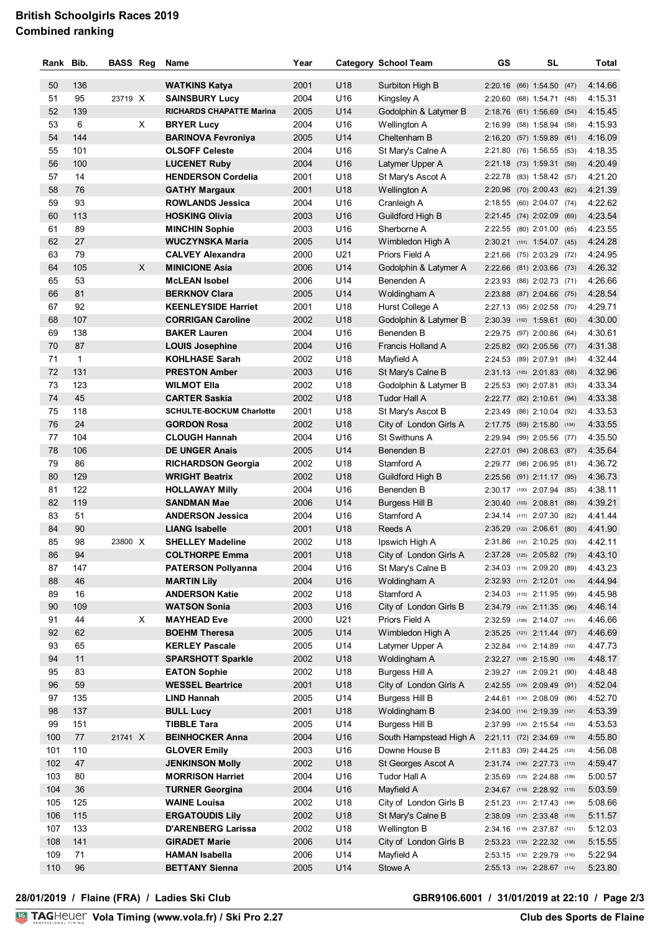### **British Schoolgirls Races 2019 Combined ranking**

| Rank     | Bib.         | <b>BASS Reg</b> |   | Name                            | Year |                 | <b>Category School Team</b> | GS | <b>SL</b>                                |       | Total   |
|----------|--------------|-----------------|---|---------------------------------|------|-----------------|-----------------------------|----|------------------------------------------|-------|---------|
|          |              |                 |   |                                 |      |                 |                             |    |                                          |       |         |
| 50       | 136          |                 |   | <b>WATKINS Katya</b>            | 2001 | U18             | Surbiton High B             |    | 2:20.16 (66) 1:54.50 (47)                |       | 4:14.66 |
| 51       | 95<br>139    | 23719 X         |   | <b>SAINSBURY Lucy</b>           | 2004 | U16<br>U14      | Kingsley A                  |    | 2:20.60 (68) 1:54.71                     | (48)  | 4:15.31 |
| 52<br>53 |              |                 |   | <b>RICHARDS CHAPATTE Marina</b> | 2005 |                 | Godolphin & Latymer B       |    | 2:18.76 (61) 1:56.69 (54)                |       | 4:15.45 |
|          | 6            |                 | X | <b>BRYER Lucy</b>               | 2004 | U16             | Wellington A                |    | 2:16.99 (58) 1:58.94 (58)                |       | 4:15.93 |
| 54       | 144          |                 |   | <b>BARINOVA Fevroniya</b>       | 2005 | U14             | Cheltenham B                |    | 2:16.20 (57) 1:59.89 (61)                |       | 4:16.09 |
| 55       | 101          |                 |   | <b>OLSOFF Celeste</b>           | 2004 | U16             | St Mary's Calne A           |    | 2:21.80 (76) 1:56.55 (53)                |       | 4:18.35 |
| 56       | 100          |                 |   | <b>LUCENET Ruby</b>             | 2004 | U16             | Latymer Upper A             |    | 2:21.18 (73) 1:59.31                     | (59)  | 4:20.49 |
| 57       | 14           |                 |   | <b>HENDERSON Cordelia</b>       | 2001 | U18             | St Mary's Ascot A           |    | 2:22.78 (83) 1:58.42 (57)                |       | 4:21.20 |
| 58       | 76           |                 |   | <b>GATHY Margaux</b>            | 2001 | U <sub>18</sub> | Wellington A                |    | 2:20.96 (70) 2:00.43 (62)                |       | 4:21.39 |
| 59       | 93           |                 |   | <b>ROWLANDS Jessica</b>         | 2004 | U16             | Cranleigh A                 |    | 2:18.55 (60) 2:04.07 (74)                |       | 4:22.62 |
| 60       | 113          |                 |   | <b>HOSKING Olivia</b>           | 2003 | U16             | Guildford High B            |    | 2:21.45 (74) 2:02.09                     | (69)  | 4:23.54 |
| 61       | 89           |                 |   | <b>MINCHIN Sophie</b>           | 2003 | U16             | Sherborne A                 |    | 2:22.55 (80) 2:01.00                     | (65)  | 4:23.55 |
| 62       | 27           |                 |   | WUCZYNSKA Maria                 | 2005 | U14             | Wimbledon High A            |    | 2:30.21 (101) 1:54.07 (45)               |       | 4:24.28 |
| 63       | 79           |                 |   | <b>CALVEY Alexandra</b>         | 2000 | U21             | Priors Field A              |    | 2:21.66 (75) 2:03.29                     | (72)  | 4:24.95 |
| 64       | 105          |                 | X | <b>MINICIONE Asia</b>           | 2006 | U14             | Godolphin & Latymer A       |    | 2:22.66 (81) 2:03.66 (73)                |       | 4:26.32 |
| 65       | 53           |                 |   | <b>McLEAN Isobel</b>            | 2006 | U14             | Benenden A                  |    | 2:23.93 (88) 2:02.73 (71)                |       | 4:26.66 |
| 66       | 81           |                 |   | <b>BERKNOV Clara</b>            | 2005 | U14             | Woldingham A                |    | 2:23.88 (87) 2:04.66 (75)                |       | 4:28.54 |
| 67       | 92           |                 |   | <b>KEENLEYSIDE Harriet</b>      | 2001 | U18             | Hurst College A             |    | 2:27.13 (95) 2:02.58 (70)                |       | 4:29.71 |
| 68       | 107          |                 |   | <b>CORRIGAN Caroline</b>        | 2002 | U18             | Godolphin & Latymer B       |    | 2:30.39 (102) 1:59.61 (60)               |       | 4:30.00 |
| 69       | 138          |                 |   | <b>BAKER Lauren</b>             | 2004 | U16             | Benenden B                  |    | 2:29.75 (97) 2:00.86                     | (64)  | 4:30.61 |
| 70       | 87           |                 |   | <b>LOUIS Josephine</b>          | 2004 | U16             | Francis Holland A           |    | 2:25.82 (92) 2:05.56 (77)                |       | 4:31.38 |
| 71       | $\mathbf{1}$ |                 |   | <b>KOHLHASE Sarah</b>           | 2002 | U18             | Mayfield A                  |    | 2:24.53 (89) 2:07.91                     | (84)  | 4:32.44 |
| 72       | 131          |                 |   | <b>PRESTON Amber</b>            | 2003 | U16             | St Mary's Calne B           |    | 2:31.13 (105) 2:01.83 (68)               |       | 4:32.96 |
| 73       | 123          |                 |   | <b>WILMOT Ella</b>              | 2002 | U18             | Godolphin & Latymer B       |    | 2:25.53 (90) 2:07.81 (83)                |       | 4:33.34 |
| 74       | 45           |                 |   | <b>CARTER Saskia</b>            | 2002 | U18             | <b>Tudor Hall A</b>         |    | 2:22.77 (82) 2:10.61 (94)                |       | 4:33.38 |
| 75       | 118          |                 |   | <b>SCHULTE-BOCKUM Charlotte</b> | 2001 | U18             | St Mary's Ascot B           |    | 2:23.49 (86) 2:10.04 (92)                |       | 4:33.53 |
| 76       | 24           |                 |   | <b>GORDON Rosa</b>              | 2002 | U18             | City of London Girls A      |    | 2:17.75 (59) 2:15.80                     | (104) | 4:33.55 |
| 77       | 104          |                 |   | <b>CLOUGH Hannah</b>            | 2004 | U16             | St Swithuns A               |    | 2:29.94 (99) 2:05.56 (77)                |       | 4:35.50 |
| 78       | 106          |                 |   | <b>DE UNGER Anais</b>           | 2005 | U14             | Benenden B                  |    | 2:27.01 (94) 2:08.63 (87)                |       | 4:35.64 |
| 79       | 86           |                 |   | <b>RICHARDSON Georgia</b>       | 2002 | U18             | Stamford A                  |    | 2:29.77 (98) 2:06.95 (81)                |       | 4:36.72 |
| 80       | 129          |                 |   | <b>WRIGHT Beatrix</b>           | 2002 | U18             | Guildford High B            |    | 2:25.56 (91) 2:11.17 (95)                |       | 4:36.73 |
| 81       | 122          |                 |   | <b>HOLLAWAY Milly</b>           | 2004 | U16             | Benenden B                  |    | 2:30.17 (100) 2:07.94 (85)               |       | 4:38.11 |
| 82       | 119          |                 |   | <b>SANDMAN Mae</b>              | 2006 | U14             | Burgess Hill B              |    | 2:30.40 (103) 2:08.81                    | (88)  | 4:39.21 |
| 83       | 51           |                 |   | <b>ANDERSON Jessica</b>         | 2004 | U16             | Stamford A                  |    | 2:34.14 (117) 2:07.30                    | (82)  | 4:41.44 |
| 84       | 90           |                 |   | <b>LIANG Isabelle</b>           | 2001 | U18             | Reeds A                     |    | 2:35.29 (122) 2:06.61                    | (80)  | 4:41.90 |
| 85       | 98           | 23800 X         |   | <b>SHELLEY Madeline</b>         | 2002 | U18             | Ipswich High A              |    | 2:31.86 (107) 2:10.25 (93)               |       | 4:42.11 |
| 86       | 94           |                 |   | <b>COLTHORPE Emma</b>           | 2001 | U18             | City of London Girls A      |    | $2:37.28$ (125) $2:05.82$ (79) $4:43.10$ |       |         |
| 87       | 147          |                 |   | <b>PATERSON Pollyanna</b>       | 2004 | U16             | St Mary's Calne B           |    | 2:34.03 (115) 2:09.20 (89)               |       | 4:43.23 |
| 88       | 46           |                 |   | <b>MARTIN Lily</b>              | 2004 | U16             | Woldingham A                |    | 2:32.93 (111) 2:12.01 (100)              |       | 4.44.94 |
| 89       | 16           |                 |   | <b>ANDERSON Katie</b>           | 2002 | U18             | Stamford A                  |    | 2:34.03 (115) 2:11.95 (99)               |       | 4:45.98 |
| 90       | 109          |                 |   | <b>WATSON Sonia</b>             | 2003 | U16             | City of London Girls B      |    | 2:34.79 (120) 2:11.35 (96)               |       | 4:46.14 |
| 91       | 44           |                 | X | <b>MAYHEAD Eve</b>              | 2000 | U21             | Priors Field A              |    | 2:32.59 (109) 2:14.07 (101)              |       | 4:46.66 |
| 92       | 62           |                 |   | <b>BOEHM Theresa</b>            | 2005 | U14             | Wimbledon High A            |    | 2:35.25 (121) 2:11.44 (97)               |       | 4:46.69 |
| 93       | 65           |                 |   | <b>KERLEY Pascale</b>           | 2005 | U14             | Latymer Upper A             |    | 2:32.84 (110) 2:14.89 (102)              |       | 4:47.73 |
| 94       | 11           |                 |   | <b>SPARSHOTT Sparkle</b>        | 2002 | U18             | Woldingham A                |    | 2:32.27 (108) 2:15.90 (105)              |       | 4:48.17 |
| 95       | 83           |                 |   | <b>EATON Sophie</b>             | 2002 | U18             | Burgess Hill A              |    | 2:39.27 (128) 2:09.21 (90)               |       | 4:48.48 |
| 96       | 59           |                 |   | <b>WESSEL Beartrice</b>         | 2001 | U18             | City of London Girls A      |    | 2:42.55 (129) 2:09.49 (91)               |       | 4:52.04 |
| 97       | 135          |                 |   | LIND Hannah                     | 2005 | U14             | Burgess Hill B              |    | 2:44.61 (130) 2:08.09 (86)               |       | 4:52.70 |
| 98       | 137          |                 |   | <b>BULL Lucy</b>                | 2001 | U18             | Woldingham B                |    | 2:34.00 (114) 2:19.39 (107)              |       | 4:53.39 |
| 99       | 151          |                 |   | <b>TIBBLE Tara</b>              | 2005 | U14             | Burgess Hill B              |    | 2:37.99 (126) 2:15.54 (103)              |       | 4:53.53 |
| 100      | 77           | 21741 X         |   | <b>BEINHOCKER Anna</b>          | 2004 | U16             | South Hampstead High A      |    | 2:21.11 (72) 2:34.69 (119)               |       | 4:55.80 |
| 101      | 110          |                 |   | <b>GLOVER Emily</b>             | 2003 | U16             | Downe House B               |    | 2:11.83 (39) 2:44.25 (123)               |       | 4:56.08 |
| 102      | 47           |                 |   | <b>JENKINSON Molly</b>          | 2002 | U18             | St Georges Ascot A          |    | 2:31.74 (106) 2:27.73 (113)              |       | 4:59.47 |
| 103      | 80           |                 |   | <b>MORRISON Harriet</b>         | 2004 | U16             | Tudor Hall A                |    | 2:35.69 (123) 2:24.88 (109)              |       | 5:00.57 |
| 104      | 36           |                 |   | <b>TURNER Georgina</b>          | 2004 | U16             | Mayfield A                  |    | 2:34.67 (119) 2:28.92 (115)              |       | 5:03.59 |
| 105      | 125          |                 |   | <b>WAINE Louisa</b>             | 2002 | U18             | City of London Girls B      |    | 2:51.23 (131) 2:17.43 (106)              |       | 5:08.66 |
| 106      | 115          |                 |   | <b>ERGATOUDIS Lily</b>          | 2002 | U18             | St Mary's Calne B           |    | 2:38.09 (127) 2:33.48 (118)              |       | 5:11.57 |
| 107      | 133          |                 |   | <b>D'ARENBERG Larissa</b>       | 2002 | U18             | Wellington B                |    | 2:34.16 (118) 2:37.87 (121)              |       | 5:12.03 |
| 108      | 141          |                 |   | <b>GIRADET Marie</b>            | 2006 | U14             | City of London Girls B      |    | 2:53.23 (133) 2:22.32 (108)              |       | 5:15.55 |
| 109      | 71           |                 |   | <b>HAMAN Isabella</b>           | 2006 | U14             | Mayfield A                  |    | 2:53.15 (132) 2:29.79 (116)              |       | 5:22.94 |
| 110      | 96           |                 |   | <b>BETTANY Sienna</b>           | 2005 | U14             | Stowe A                     |    | 2:55.13 (134) 2:28.67 (114)              |       | 5:23.80 |